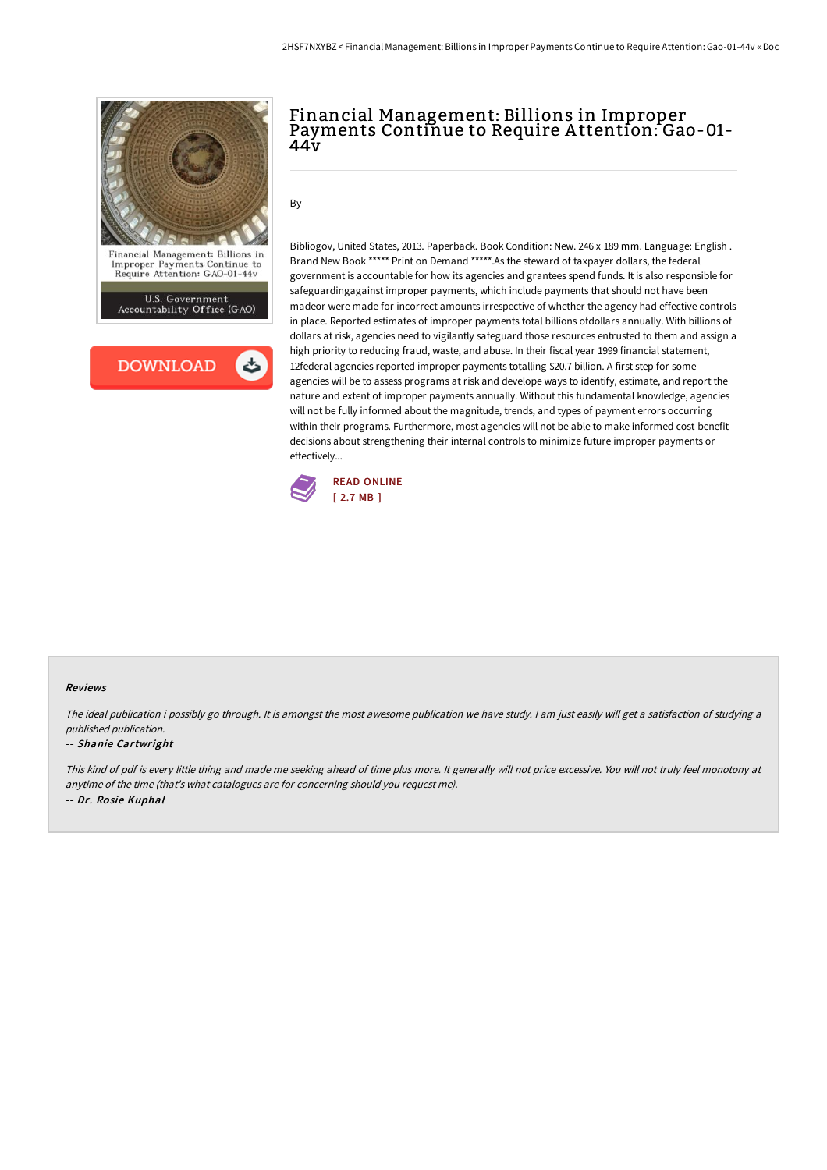

U.S. Government<br>Accountability Office (GAO)



## Financial Management: Billions in Improper Payments Continue to Require A ttention: Gao-01- 44v

By -

Bibliogov, United States, 2013. Paperback. Book Condition: New. 246 x 189 mm. Language: English . Brand New Book \*\*\*\*\* Print on Demand \*\*\*\*\*.As the steward of taxpayer dollars, the federal government is accountable for how its agencies and grantees spend funds. It is also responsible for safeguardingagainst improper payments, which include payments that should not have been madeor were made for incorrect amounts irrespective of whether the agency had effective controls in place. Reported estimates of improper payments total billions ofdollars annually. With billions of dollars at risk, agencies need to vigilantly safeguard those resources entrusted to them and assign a high priority to reducing fraud, waste, and abuse. In their fiscal year 1999 financial statement, 12federal agencies reported improper payments totalling \$20.7 billion. A first step for some agencies will be to assess programs at risk and develope ways to identify, estimate, and report the nature and extent of improper payments annually. Without this fundamental knowledge, agencies will not be fully informed about the magnitude, trends, and types of payment errors occurring within their programs. Furthermore, most agencies will not be able to make informed cost-benefit decisions about strengthening their internal controls to minimize future improper payments or effectively...



## Reviews

The ideal publication i possibly go through. It is amongst the most awesome publication we have study. I am just easily will get a satisfaction of studying a published publication.

## -- Shanie Cartwright

This kind of pdf is every little thing and made me seeking ahead of time plus more. It generally will not price excessive. You will not truly feel monotony at anytime of the time (that's what catalogues are for concerning should you request me). -- Dr. Rosie Kuphal